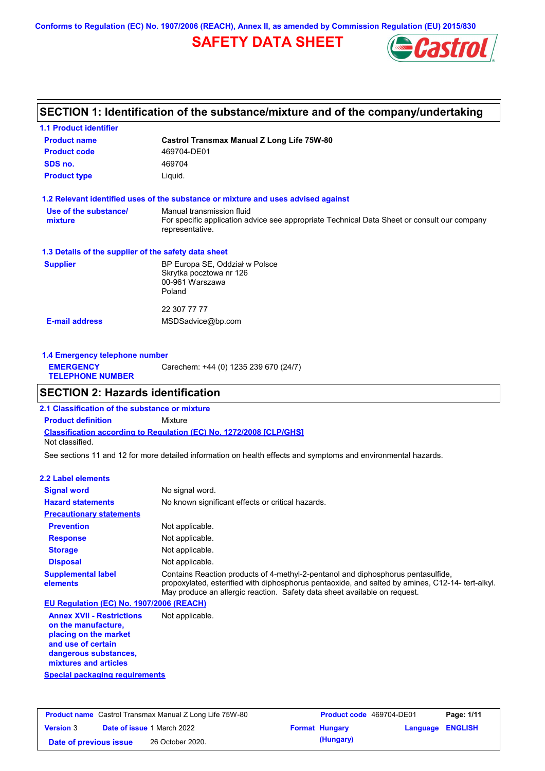**Conforms to Regulation (EC) No. 1907/2006 (REACH), Annex II, as amended by Commission Regulation (EU) 2015/830**

# **SAFETY DATA SHEET**



## **SECTION 1: Identification of the substance/mixture and of the company/undertaking**

| <b>1.1 Product identifier</b>                        |                                                                                                                                             |
|------------------------------------------------------|---------------------------------------------------------------------------------------------------------------------------------------------|
| <b>Product name</b>                                  | Castrol Transmax Manual Z Long Life 75W-80                                                                                                  |
| <b>Product code</b>                                  | 469704-DE01                                                                                                                                 |
| SDS no.                                              | 469704                                                                                                                                      |
| <b>Product type</b>                                  | Liquid.                                                                                                                                     |
|                                                      | 1.2 Relevant identified uses of the substance or mixture and uses advised against                                                           |
| Use of the substance/<br>mixture                     | Manual transmission fluid<br>For specific application advice see appropriate Technical Data Sheet or consult our company<br>representative. |
| 1.3 Details of the supplier of the safety data sheet |                                                                                                                                             |
| <b>Supplier</b>                                      | BP Europa SE, Oddział w Polsce<br>Skrytka pocztowa nr 126<br>00-961 Warszawa<br>Poland                                                      |
|                                                      | 22 307 77 77                                                                                                                                |
| <b>E-mail address</b>                                | MSDSadvice@bp.com                                                                                                                           |
|                                                      |                                                                                                                                             |

| 1.4 Emergency telephone number              |                                       |  |  |  |
|---------------------------------------------|---------------------------------------|--|--|--|
| <b>EMERGENCY</b><br><b>TELEPHONE NUMBER</b> | Carechem: +44 (0) 1235 239 670 (24/7) |  |  |  |

## **SECTION 2: Hazards identification**

**Classification according to Regulation (EC) No. 1272/2008 [CLP/GHS] 2.1 Classification of the substance or mixture Product definition** Mixture Not classified.

See sections 11 and 12 for more detailed information on health effects and symptoms and environmental hazards.

#### **2.2 Label elements**

| <b>Signal word</b>                       | No signal word.                                                                                                                                                                                                                                                   |
|------------------------------------------|-------------------------------------------------------------------------------------------------------------------------------------------------------------------------------------------------------------------------------------------------------------------|
| <b>Hazard statements</b>                 | No known significant effects or critical hazards.                                                                                                                                                                                                                 |
| <b>Precautionary statements</b>          |                                                                                                                                                                                                                                                                   |
| <b>Prevention</b>                        | Not applicable.                                                                                                                                                                                                                                                   |
| <b>Response</b>                          | Not applicable.                                                                                                                                                                                                                                                   |
| <b>Storage</b>                           | Not applicable.                                                                                                                                                                                                                                                   |
| <b>Disposal</b>                          | Not applicable.                                                                                                                                                                                                                                                   |
| <b>Supplemental label</b><br>elements    | Contains Reaction products of 4-methyl-2-pentanol and diphosphorus pentasulfide,<br>propoxylated, esterified with diphosphorus pentaoxide, and salted by amines, C12-14- tert-alkyl.<br>May produce an allergic reaction. Safety data sheet available on request. |
| EU Regulation (EC) No. 1907/2006 (REACH) |                                                                                                                                                                                                                                                                   |

**Annex XVII - Restrictions on the manufacture, placing on the market and use of certain dangerous substances, mixtures and articles** Not applicable.

**Special packaging requirements**

| <b>Product name</b> Castrol Transmax Manual Z Long Life 75W-80 |  |                                   | <b>Product code</b> 469704-DE01 |                       | Page: 1/11       |  |
|----------------------------------------------------------------|--|-----------------------------------|---------------------------------|-----------------------|------------------|--|
| <b>Version 3</b>                                               |  | <b>Date of issue 1 March 2022</b> |                                 | <b>Format Hungary</b> | Language ENGLISH |  |
| Date of previous issue                                         |  | 26 October 2020.                  |                                 | (Hungary)             |                  |  |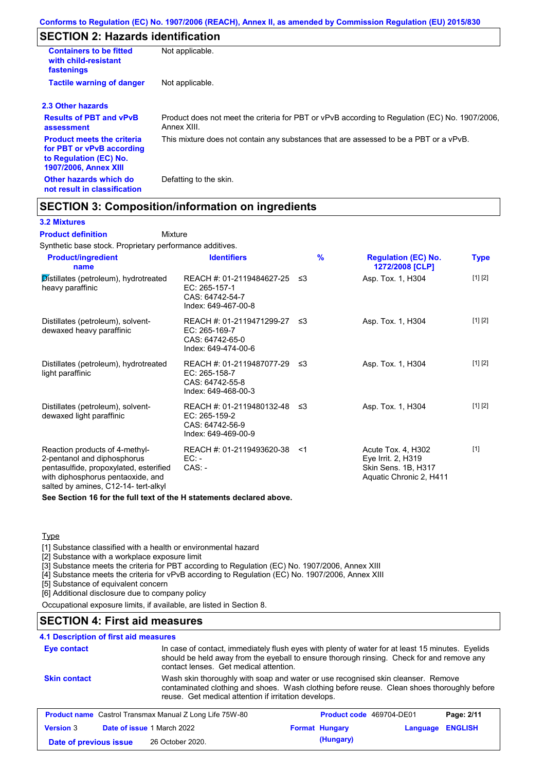# **SECTION 2: Hazards identification**

| <b>Containers to be fitted</b><br>with child-resistant<br>fastenings                                                     | Not applicable.                                                                                               |
|--------------------------------------------------------------------------------------------------------------------------|---------------------------------------------------------------------------------------------------------------|
| <b>Tactile warning of danger</b>                                                                                         | Not applicable.                                                                                               |
| 2.3 Other hazards                                                                                                        |                                                                                                               |
| <b>Results of PBT and vPvB</b><br>assessment                                                                             | Product does not meet the criteria for PBT or vPvB according to Regulation (EC) No. 1907/2006,<br>Annex XIII. |
| <b>Product meets the criteria</b><br>for PBT or vPvB according<br>to Regulation (EC) No.<br><b>1907/2006, Annex XIII</b> | This mixture does not contain any substances that are assessed to be a PBT or a vPvB.                         |
| Other hazards which do<br>not result in classification                                                                   | Defatting to the skin.                                                                                        |

## **SECTION 3: Composition/information on ingredients**

Mixture

#### **3.2 Mixtures**

**Product definition**

Synthetic base stock. Proprietary performance additives.

| <b>Product/ingredient</b><br>name                                                                                                                                                    | <b>Identifiers</b>                                                                      | $\frac{9}{6}$ | <b>Regulation (EC) No.</b><br>1272/2008 [CLP]                                              | Type    |
|--------------------------------------------------------------------------------------------------------------------------------------------------------------------------------------|-----------------------------------------------------------------------------------------|---------------|--------------------------------------------------------------------------------------------|---------|
| Distillates (petroleum), hydrotreated<br>heavy paraffinic                                                                                                                            | REACH #: 01-2119484627-25<br>EC: 265-157-1<br>CAS: 64742-54-7<br>Index: 649-467-00-8    | -≤3           | Asp. Tox. 1, H304                                                                          | [1] [2] |
| Distillates (petroleum), solvent-<br>dewaxed heavy paraffinic                                                                                                                        | REACH #: 01-2119471299-27 ≤3<br>EC: 265-169-7<br>CAS: 64742-65-0<br>Index: 649-474-00-6 |               | Asp. Tox. 1, H304                                                                          | [1] [2] |
| Distillates (petroleum), hydrotreated<br>light paraffinic                                                                                                                            | REACH #: 01-2119487077-29 ≤3<br>EC: 265-158-7<br>CAS: 64742-55-8<br>Index: 649-468-00-3 |               | Asp. Tox. 1, H304                                                                          | [1] [2] |
| Distillates (petroleum), solvent-<br>dewaxed light paraffinic                                                                                                                        | REACH #: 01-2119480132-48 ≤3<br>EC: 265-159-2<br>CAS: 64742-56-9<br>Index: 649-469-00-9 |               | Asp. Tox. 1, H304                                                                          | [1] [2] |
| Reaction products of 4-methyl-<br>2-pentanol and diphosphorus<br>pentasulfide, propoxylated, esterified<br>with diphosphorus pentaoxide, and<br>salted by amines, C12-14- tert-alkyl | REACH #: 01-2119493620-38<br>EC: -<br>$CAS. -$                                          | <1            | Acute Tox. 4, H302<br>Eye Irrit. 2, H319<br>Skin Sens. 1B, H317<br>Aquatic Chronic 2, H411 | $[1]$   |

**See Section 16 for the full text of the H statements declared above.**

#### **Type**

[1] Substance classified with a health or environmental hazard

[2] Substance with a workplace exposure limit

[3] Substance meets the criteria for PBT according to Regulation (EC) No. 1907/2006, Annex XIII

[4] Substance meets the criteria for vPvB according to Regulation (EC) No. 1907/2006, Annex XIII

[5] Substance of equivalent concern

[6] Additional disclosure due to company policy

Occupational exposure limits, if available, are listed in Section 8.

### **SECTION 4: First aid measures**

#### **4.1 Description of first aid measures**

| Eye contact            |                                                                | In case of contact, immediately flush eyes with plenty of water for at least 15 minutes. Eyelids<br>should be held away from the eyeball to ensure thorough rinsing. Check for and remove any<br>contact lenses. Get medical attention. |  |  |
|------------------------|----------------------------------------------------------------|-----------------------------------------------------------------------------------------------------------------------------------------------------------------------------------------------------------------------------------------|--|--|
| <b>Skin contact</b>    | reuse. Get medical attention if irritation develops.           | Wash skin thoroughly with soap and water or use recognised skin cleanser. Remove<br>contaminated clothing and shoes. Wash clothing before reuse. Clean shoes thoroughly before                                                          |  |  |
|                        | <b>Product name</b> Castrol Transmax Manual Z Long Life 75W-80 | <b>Product code</b> 469704-DE01<br>Page: 2/11                                                                                                                                                                                           |  |  |
| <b>Version 3</b>       | Date of issue 1 March 2022                                     | <b>ENGLISH</b><br><b>Format Hungary</b><br>Language                                                                                                                                                                                     |  |  |
| Date of previous issue | 26 October 2020.                                               | (Hungary)                                                                                                                                                                                                                               |  |  |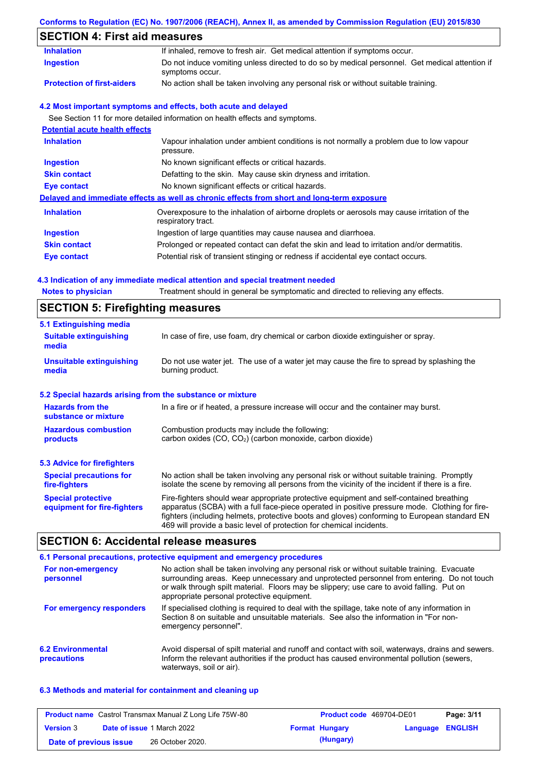## **Conforms to Regulation (EC) No. 1907/2006 (REACH), Annex II, as amended by Commission Regulation (EU) 2015/830**

# **SECTION 4: First aid measures**

| <b>Inhalation</b>                     | If inhaled, remove to fresh air. Get medical attention if symptoms occur.                                         |
|---------------------------------------|-------------------------------------------------------------------------------------------------------------------|
| <b>Ingestion</b>                      | Do not induce vomiting unless directed to do so by medical personnel. Get medical attention if<br>symptoms occur. |
| <b>Protection of first-aiders</b>     | No action shall be taken involving any personal risk or without suitable training.                                |
|                                       | 4.2 Most important symptoms and effects, both acute and delayed                                                   |
|                                       | See Section 11 for more detailed information on health effects and symptoms.                                      |
| <b>Potential acute health effects</b> |                                                                                                                   |
| <b>Inhalation</b>                     | Vapour inhalation under ambient conditions is not normally a problem due to low vapour<br>pressure.               |
| <b>Ingestion</b>                      | No known significant effects or critical hazards.                                                                 |
| <b>Skin contact</b>                   | Defatting to the skin. May cause skin dryness and irritation.                                                     |
| <b>Eye contact</b>                    | No known significant effects or critical hazards.                                                                 |
|                                       | Delayed and immediate effects as well as chronic effects from short and long-term exposure                        |
| <b>Inhalation</b>                     | Overexposure to the inhalation of airborne droplets or aerosols may cause irritation of the<br>respiratory tract. |
| <b>Ingestion</b>                      | Ingestion of large quantities may cause nausea and diarrhoea.                                                     |
| <b>Skin contact</b>                   | Prolonged or repeated contact can defat the skin and lead to irritation and/or dermatitis.                        |
|                                       |                                                                                                                   |

#### **4.3 Indication of any immediate medical attention and special treatment needed**

| <b>Notes to physician</b>                                 | Treatment should in general be symptomatic and directed to relieving any effects.                                                                                                                                                                                                                                                                                 |  |  |  |  |
|-----------------------------------------------------------|-------------------------------------------------------------------------------------------------------------------------------------------------------------------------------------------------------------------------------------------------------------------------------------------------------------------------------------------------------------------|--|--|--|--|
|                                                           | <b>SECTION 5: Firefighting measures</b>                                                                                                                                                                                                                                                                                                                           |  |  |  |  |
| 5.1 Extinguishing media                                   |                                                                                                                                                                                                                                                                                                                                                                   |  |  |  |  |
| <b>Suitable extinguishing</b><br>media                    | In case of fire, use foam, dry chemical or carbon dioxide extinguisher or spray.                                                                                                                                                                                                                                                                                  |  |  |  |  |
| <b>Unsuitable extinguishing</b><br>media                  | Do not use water jet. The use of a water jet may cause the fire to spread by splashing the<br>burning product.                                                                                                                                                                                                                                                    |  |  |  |  |
| 5.2 Special hazards arising from the substance or mixture |                                                                                                                                                                                                                                                                                                                                                                   |  |  |  |  |
| <b>Hazards from the</b><br>substance or mixture           | In a fire or if heated, a pressure increase will occur and the container may burst.                                                                                                                                                                                                                                                                               |  |  |  |  |
| <b>Hazardous combustion</b>                               | Combustion products may include the following:                                                                                                                                                                                                                                                                                                                    |  |  |  |  |
| products                                                  | carbon oxides (CO, CO <sub>2</sub> ) (carbon monoxide, carbon dioxide)                                                                                                                                                                                                                                                                                            |  |  |  |  |
| <b>5.3 Advice for firefighters</b>                        |                                                                                                                                                                                                                                                                                                                                                                   |  |  |  |  |
| <b>Special precautions for</b><br>fire-fighters           | No action shall be taken involving any personal risk or without suitable training. Promptly<br>isolate the scene by removing all persons from the vicinity of the incident if there is a fire.                                                                                                                                                                    |  |  |  |  |
| <b>Special protective</b><br>equipment for fire-fighters  | Fire-fighters should wear appropriate protective equipment and self-contained breathing<br>apparatus (SCBA) with a full face-piece operated in positive pressure mode. Clothing for fire-<br>fighters (including helmets, protective boots and gloves) conforming to European standard EN<br>469 will provide a basic level of protection for chemical incidents. |  |  |  |  |

## **SECTION 6: Accidental release measures**

|                                         | 6.1 Personal precautions, protective equipment and emergency procedures                                                                                                                                                                                                                                                             |
|-----------------------------------------|-------------------------------------------------------------------------------------------------------------------------------------------------------------------------------------------------------------------------------------------------------------------------------------------------------------------------------------|
| For non-emergency<br>personnel          | No action shall be taken involving any personal risk or without suitable training. Evacuate<br>surrounding areas. Keep unnecessary and unprotected personnel from entering. Do not touch<br>or walk through spilt material. Floors may be slippery; use care to avoid falling. Put on<br>appropriate personal protective equipment. |
| For emergency responders                | If specialised clothing is required to deal with the spillage, take note of any information in<br>Section 8 on suitable and unsuitable materials. See also the information in "For non-<br>emergency personnel".                                                                                                                    |
| <b>6.2 Environmental</b><br>precautions | Avoid dispersal of spilt material and runoff and contact with soil, waterways, drains and sewers.<br>Inform the relevant authorities if the product has caused environmental pollution (sewers,<br>waterways, soil or air).                                                                                                         |

#### **6.3 Methods and material for containment and cleaning up**

| <b>Product name</b> Castrol Transmax Manual Z Long Life 75W-80 |  | <b>Product code</b> 469704-DE01   |  | Page: 3/11            |                         |  |
|----------------------------------------------------------------|--|-----------------------------------|--|-----------------------|-------------------------|--|
| <b>Version 3</b>                                               |  | <b>Date of issue 1 March 2022</b> |  | <b>Format Hungary</b> | <b>Language ENGLISH</b> |  |
| Date of previous issue                                         |  | 26 October 2020.                  |  | (Hungary)             |                         |  |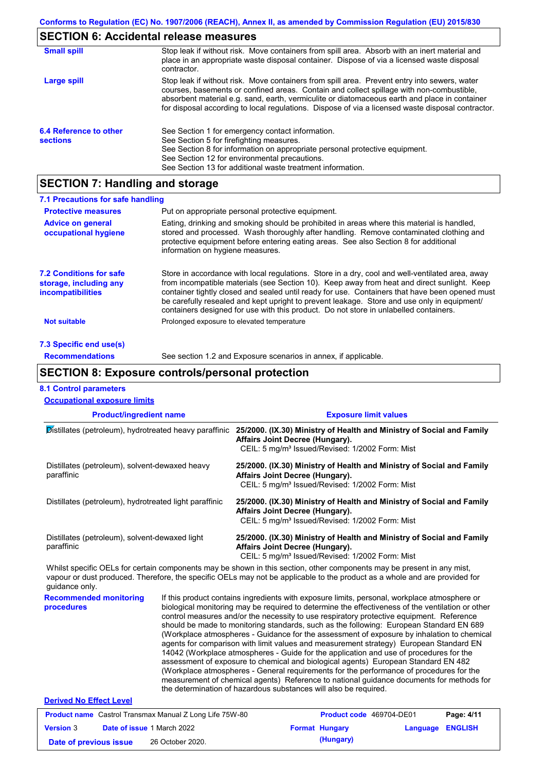## **SECTION 6: Accidental release measures**

| <b>Small spill</b>                        | Stop leak if without risk. Move containers from spill area. Absorb with an inert material and<br>place in an appropriate waste disposal container. Dispose of via a licensed waste disposal<br>contractor.                                                                                                                                                                                     |
|-------------------------------------------|------------------------------------------------------------------------------------------------------------------------------------------------------------------------------------------------------------------------------------------------------------------------------------------------------------------------------------------------------------------------------------------------|
| Large spill                               | Stop leak if without risk. Move containers from spill area. Prevent entry into sewers, water<br>courses, basements or confined areas. Contain and collect spillage with non-combustible,<br>absorbent material e.g. sand, earth, vermiculite or diatomaceous earth and place in container<br>for disposal according to local regulations. Dispose of via a licensed waste disposal contractor. |
| 6.4 Reference to other<br><b>sections</b> | See Section 1 for emergency contact information.<br>See Section 5 for firefighting measures.<br>See Section 8 for information on appropriate personal protective equipment.<br>See Section 12 for environmental precautions.<br>See Section 13 for additional waste treatment information.                                                                                                     |

# **SECTION 7: Handling and storage**

| 7.1 Precautions for safe handling                                             |                                                                                                                                                                                                                                                                                                                                                                                                                                                                                          |
|-------------------------------------------------------------------------------|------------------------------------------------------------------------------------------------------------------------------------------------------------------------------------------------------------------------------------------------------------------------------------------------------------------------------------------------------------------------------------------------------------------------------------------------------------------------------------------|
| <b>Protective measures</b>                                                    | Put on appropriate personal protective equipment.                                                                                                                                                                                                                                                                                                                                                                                                                                        |
| <b>Advice on general</b><br>occupational hygiene                              | Eating, drinking and smoking should be prohibited in areas where this material is handled,<br>stored and processed. Wash thoroughly after handling. Remove contaminated clothing and<br>protective equipment before entering eating areas. See also Section 8 for additional<br>information on hygiene measures.                                                                                                                                                                         |
| <b>7.2 Conditions for safe</b><br>storage, including any<br>incompatibilities | Store in accordance with local requlations. Store in a dry, cool and well-ventilated area, away<br>from incompatible materials (see Section 10). Keep away from heat and direct sunlight. Keep<br>container tightly closed and sealed until ready for use. Containers that have been opened must<br>be carefully resealed and kept upright to prevent leakage. Store and use only in equipment/<br>containers designed for use with this product. Do not store in unlabelled containers. |
| Not suitable                                                                  | Prolonged exposure to elevated temperature                                                                                                                                                                                                                                                                                                                                                                                                                                               |
| 7.3 Specific end use(s)                                                       |                                                                                                                                                                                                                                                                                                                                                                                                                                                                                          |
| <b>Recommendations</b>                                                        | See section 1.2 and Exposure scenarios in annex, if applicable.                                                                                                                                                                                                                                                                                                                                                                                                                          |

### **SECTION 8: Exposure controls/personal protection**

## **8.1 Control parameters**

| <b>Occupational exposure limits</b>                          |  |                                                                                                                                                                                                                                                                                             |  |  |  |  |
|--------------------------------------------------------------|--|---------------------------------------------------------------------------------------------------------------------------------------------------------------------------------------------------------------------------------------------------------------------------------------------|--|--|--|--|
| <b>Product/ingredient name</b>                               |  | <b>Exposure limit values</b>                                                                                                                                                                                                                                                                |  |  |  |  |
| Distillates (petroleum), hydrotreated heavy paraffinic       |  | 25/2000. (IX.30) Ministry of Health and Ministry of Social and Family<br>Affairs Joint Decree (Hungary).<br>CEIL: 5 mg/m <sup>3</sup> Issued/Revised: 1/2002 Form: Mist                                                                                                                     |  |  |  |  |
| Distillates (petroleum), solvent-dewaxed heavy<br>paraffinic |  | 25/2000. (IX.30) Ministry of Health and Ministry of Social and Family<br>Affairs Joint Decree (Hungary).<br>CEIL: 5 mg/m <sup>3</sup> Issued/Revised: 1/2002 Form: Mist                                                                                                                     |  |  |  |  |
| Distillates (petroleum), hydrotreated light paraffinic       |  | 25/2000. (IX.30) Ministry of Health and Ministry of Social and Family<br>Affairs Joint Decree (Hungary).<br>CEIL: 5 mg/m <sup>3</sup> Issued/Revised: 1/2002 Form: Mist                                                                                                                     |  |  |  |  |
| Distillates (petroleum), solvent-dewaxed light<br>paraffinic |  | 25/2000. (IX.30) Ministry of Health and Ministry of Social and Family<br>Affairs Joint Decree (Hungary).<br>CEIL: 5 mg/m <sup>3</sup> Issued/Revised: 1/2002 Form: Mist                                                                                                                     |  |  |  |  |
| guidance only.                                               |  | Whilst specific OELs for certain components may be shown in this section, other components may be present in any mist,<br>vapour or dust produced. Therefore, the specific OELs may not be applicable to the product as a whole and are provided for                                        |  |  |  |  |
| <b>Recommended monitoring</b><br>procedures                  |  | If this product contains ingredients with exposure limits, personal, workplace atmosphere or<br>biological monitoring may be required to determine the effectiveness of the ventilation or other<br>control measures and/or the necessity to use respiratory protective equipment Peterence |  |  |  |  |

biological monitoring may be required to determine the effectiveness of the ventilation or other control measures and/or the necessity to use respiratory protective equipment. Reference should be made to monitoring standards, such as the following: European Standard EN 689 (Workplace atmospheres - Guidance for the assessment of exposure by inhalation to chemical agents for comparison with limit values and measurement strategy) European Standard EN 14042 (Workplace atmospheres - Guide for the application and use of procedures for the assessment of exposure to chemical and biological agents) European Standard EN 482 (Workplace atmospheres - General requirements for the performance of procedures for the measurement of chemical agents) Reference to national guidance documents for methods for the determination of hazardous substances will also be required.

#### **Derived No Effect Level**

| <b>Product name</b> Castrol Transmax Manual Z Long Life 75W-80 |  |                                   | <b>Product code</b> 469704-DE01 |                       | Page: 4/11              |  |
|----------------------------------------------------------------|--|-----------------------------------|---------------------------------|-----------------------|-------------------------|--|
| <b>Version 3</b>                                               |  | <b>Date of issue 1 March 2022</b> |                                 | <b>Format Hungary</b> | <b>Language ENGLISH</b> |  |
| Date of previous issue                                         |  | 26 October 2020.                  |                                 | (Hungary)             |                         |  |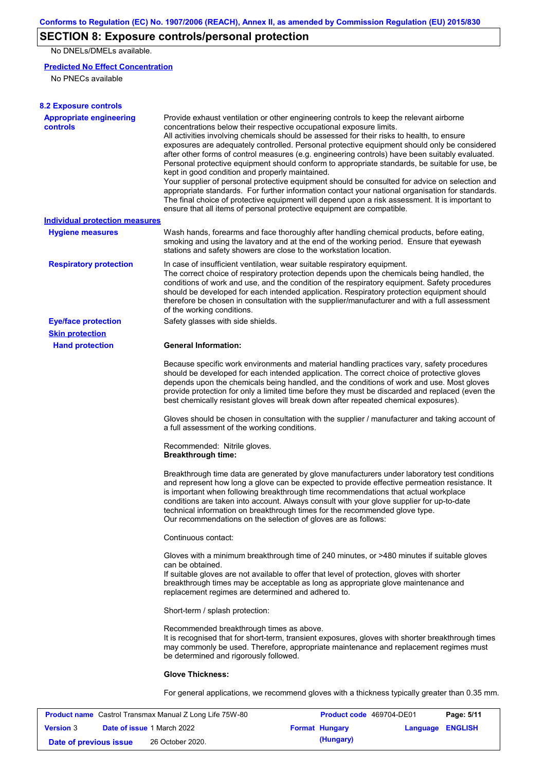# **SECTION 8: Exposure controls/personal protection**

No DNELs/DMELs available.

#### **Predicted No Effect Concentration**

No PNECs available

| <b>8.2 Exposure controls</b>               |                                                                                                                                                                                                                                                                                                                                                                                                                                                                                                                                                                                                                                                                                                                                                                                                                                                                                                                                                                                                         |
|--------------------------------------------|---------------------------------------------------------------------------------------------------------------------------------------------------------------------------------------------------------------------------------------------------------------------------------------------------------------------------------------------------------------------------------------------------------------------------------------------------------------------------------------------------------------------------------------------------------------------------------------------------------------------------------------------------------------------------------------------------------------------------------------------------------------------------------------------------------------------------------------------------------------------------------------------------------------------------------------------------------------------------------------------------------|
| <b>Appropriate engineering</b><br>controls | Provide exhaust ventilation or other engineering controls to keep the relevant airborne<br>concentrations below their respective occupational exposure limits.<br>All activities involving chemicals should be assessed for their risks to health, to ensure<br>exposures are adequately controlled. Personal protective equipment should only be considered<br>after other forms of control measures (e.g. engineering controls) have been suitably evaluated.<br>Personal protective equipment should conform to appropriate standards, be suitable for use, be<br>kept in good condition and properly maintained.<br>Your supplier of personal protective equipment should be consulted for advice on selection and<br>appropriate standards. For further information contact your national organisation for standards.<br>The final choice of protective equipment will depend upon a risk assessment. It is important to<br>ensure that all items of personal protective equipment are compatible. |
| Individual protection measures             |                                                                                                                                                                                                                                                                                                                                                                                                                                                                                                                                                                                                                                                                                                                                                                                                                                                                                                                                                                                                         |
| <b>Hygiene measures</b>                    | Wash hands, forearms and face thoroughly after handling chemical products, before eating,<br>smoking and using the lavatory and at the end of the working period. Ensure that eyewash<br>stations and safety showers are close to the workstation location.                                                                                                                                                                                                                                                                                                                                                                                                                                                                                                                                                                                                                                                                                                                                             |
| <b>Respiratory protection</b>              | In case of insufficient ventilation, wear suitable respiratory equipment.<br>The correct choice of respiratory protection depends upon the chemicals being handled, the<br>conditions of work and use, and the condition of the respiratory equipment. Safety procedures<br>should be developed for each intended application. Respiratory protection equipment should<br>therefore be chosen in consultation with the supplier/manufacturer and with a full assessment<br>of the working conditions.                                                                                                                                                                                                                                                                                                                                                                                                                                                                                                   |
| <b>Eye/face protection</b>                 | Safety glasses with side shields.                                                                                                                                                                                                                                                                                                                                                                                                                                                                                                                                                                                                                                                                                                                                                                                                                                                                                                                                                                       |
| <b>Skin protection</b>                     |                                                                                                                                                                                                                                                                                                                                                                                                                                                                                                                                                                                                                                                                                                                                                                                                                                                                                                                                                                                                         |
| <b>Hand protection</b>                     | <b>General Information:</b>                                                                                                                                                                                                                                                                                                                                                                                                                                                                                                                                                                                                                                                                                                                                                                                                                                                                                                                                                                             |
|                                            | Because specific work environments and material handling practices vary, safety procedures<br>should be developed for each intended application. The correct choice of protective gloves<br>depends upon the chemicals being handled, and the conditions of work and use. Most gloves<br>provide protection for only a limited time before they must be discarded and replaced (even the<br>best chemically resistant gloves will break down after repeated chemical exposures).                                                                                                                                                                                                                                                                                                                                                                                                                                                                                                                        |
|                                            | Gloves should be chosen in consultation with the supplier / manufacturer and taking account of<br>a full assessment of the working conditions.                                                                                                                                                                                                                                                                                                                                                                                                                                                                                                                                                                                                                                                                                                                                                                                                                                                          |
|                                            | Recommended: Nitrile gloves.<br><b>Breakthrough time:</b>                                                                                                                                                                                                                                                                                                                                                                                                                                                                                                                                                                                                                                                                                                                                                                                                                                                                                                                                               |
|                                            | Breakthrough time data are generated by glove manufacturers under laboratory test conditions<br>and represent how long a glove can be expected to provide effective permeation resistance. It<br>is important when following breakthrough time recommendations that actual workplace<br>conditions are taken into account. Always consult with your glove supplier for up-to-date<br>technical information on breakthrough times for the recommended glove type.<br>Our recommendations on the selection of gloves are as follows:                                                                                                                                                                                                                                                                                                                                                                                                                                                                      |
|                                            | Continuous contact:                                                                                                                                                                                                                                                                                                                                                                                                                                                                                                                                                                                                                                                                                                                                                                                                                                                                                                                                                                                     |
|                                            | Gloves with a minimum breakthrough time of 240 minutes, or >480 minutes if suitable gloves<br>can be obtained.<br>If suitable gloves are not available to offer that level of protection, gloves with shorter<br>breakthrough times may be acceptable as long as appropriate glove maintenance and<br>replacement regimes are determined and adhered to.                                                                                                                                                                                                                                                                                                                                                                                                                                                                                                                                                                                                                                                |
|                                            | Short-term / splash protection:                                                                                                                                                                                                                                                                                                                                                                                                                                                                                                                                                                                                                                                                                                                                                                                                                                                                                                                                                                         |
|                                            | Recommended breakthrough times as above.<br>It is recognised that for short-term, transient exposures, gloves with shorter breakthrough times<br>may commonly be used. Therefore, appropriate maintenance and replacement regimes must<br>be determined and rigorously followed.                                                                                                                                                                                                                                                                                                                                                                                                                                                                                                                                                                                                                                                                                                                        |
|                                            | <b>Glove Thickness:</b>                                                                                                                                                                                                                                                                                                                                                                                                                                                                                                                                                                                                                                                                                                                                                                                                                                                                                                                                                                                 |
|                                            | For general applications, we recommend gloves with a thickness typically greater than 0.35 mm.                                                                                                                                                                                                                                                                                                                                                                                                                                                                                                                                                                                                                                                                                                                                                                                                                                                                                                          |

| <b>Product name</b> Castrol Transmax Manual Z Long Life 75W-80 |  |                                   | <b>Product code</b> 469704-DE01 |                       | Page: 5/11       |  |
|----------------------------------------------------------------|--|-----------------------------------|---------------------------------|-----------------------|------------------|--|
| <b>Version 3</b>                                               |  | <b>Date of issue 1 March 2022</b> |                                 | <b>Format Hungary</b> | Language ENGLISH |  |
| Date of previous issue                                         |  | 26 October 2020.                  |                                 | (Hungary)             |                  |  |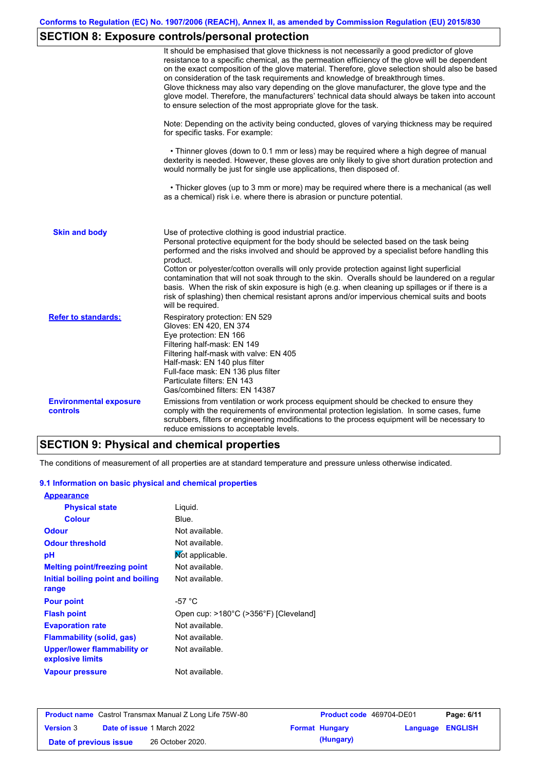# **SECTION 8: Exposure controls/personal protection**

|                                           | It should be emphasised that glove thickness is not necessarily a good predictor of glove<br>resistance to a specific chemical, as the permeation efficiency of the glove will be dependent<br>on the exact composition of the glove material. Therefore, glove selection should also be based<br>on consideration of the task requirements and knowledge of breakthrough times.<br>Glove thickness may also vary depending on the glove manufacturer, the glove type and the<br>glove model. Therefore, the manufacturers' technical data should always be taken into account<br>to ensure selection of the most appropriate glove for the task.                                     |
|-------------------------------------------|---------------------------------------------------------------------------------------------------------------------------------------------------------------------------------------------------------------------------------------------------------------------------------------------------------------------------------------------------------------------------------------------------------------------------------------------------------------------------------------------------------------------------------------------------------------------------------------------------------------------------------------------------------------------------------------|
|                                           | Note: Depending on the activity being conducted, gloves of varying thickness may be required<br>for specific tasks. For example:                                                                                                                                                                                                                                                                                                                                                                                                                                                                                                                                                      |
|                                           | • Thinner gloves (down to 0.1 mm or less) may be required where a high degree of manual<br>dexterity is needed. However, these gloves are only likely to give short duration protection and<br>would normally be just for single use applications, then disposed of.                                                                                                                                                                                                                                                                                                                                                                                                                  |
|                                           | • Thicker gloves (up to 3 mm or more) may be required where there is a mechanical (as well<br>as a chemical) risk i.e. where there is abrasion or puncture potential.                                                                                                                                                                                                                                                                                                                                                                                                                                                                                                                 |
| <b>Skin and body</b>                      | Use of protective clothing is good industrial practice.<br>Personal protective equipment for the body should be selected based on the task being<br>performed and the risks involved and should be approved by a specialist before handling this<br>product.<br>Cotton or polyester/cotton overalls will only provide protection against light superficial<br>contamination that will not soak through to the skin. Overalls should be laundered on a regular<br>basis. When the risk of skin exposure is high (e.g. when cleaning up spillages or if there is a<br>risk of splashing) then chemical resistant aprons and/or impervious chemical suits and boots<br>will be required. |
| <b>Refer to standards:</b>                | Respiratory protection: EN 529<br>Gloves: EN 420, EN 374<br>Eye protection: EN 166<br>Filtering half-mask: EN 149<br>Filtering half-mask with valve: EN 405<br>Half-mask: EN 140 plus filter<br>Full-face mask: EN 136 plus filter<br>Particulate filters: EN 143<br>Gas/combined filters: EN 14387                                                                                                                                                                                                                                                                                                                                                                                   |
| <b>Environmental exposure</b><br>controls | Emissions from ventilation or work process equipment should be checked to ensure they<br>comply with the requirements of environmental protection legislation. In some cases, fume<br>scrubbers, filters or engineering modifications to the process equipment will be necessary to<br>reduce emissions to acceptable levels.                                                                                                                                                                                                                                                                                                                                                         |

# **SECTION 9: Physical and chemical properties**

The conditions of measurement of all properties are at standard temperature and pressure unless otherwise indicated.

#### **9.1 Information on basic physical and chemical properties**

| <b>Appearance</b>                                      |                                       |
|--------------------------------------------------------|---------------------------------------|
| <b>Physical state</b>                                  | Liquid.                               |
| <b>Colour</b>                                          | Blue.                                 |
| <b>Odour</b>                                           | Not available.                        |
| <b>Odour threshold</b>                                 | Not available.                        |
| рH                                                     | Mot applicable.                       |
| <b>Melting point/freezing point</b>                    | Not available.                        |
| Initial boiling point and boiling                      | Not available.                        |
| range                                                  |                                       |
| <b>Pour point</b>                                      | -57 $^{\circ}$ C                      |
| <b>Flash point</b>                                     | Open cup: >180°C (>356°F) [Cleveland] |
| <b>Evaporation rate</b>                                | Not available.                        |
| <b>Flammability (solid, gas)</b>                       | Not available.                        |
| <b>Upper/lower flammability or</b><br>explosive limits | Not available.                        |
| <b>Vapour pressure</b>                                 | Not available.                        |

| <b>Product name</b> Castrol Transmax Manual Z Long Life 75W-80 |  |                                   | <b>Product code</b> 469704-DE01 |                         | Page: 6/11 |
|----------------------------------------------------------------|--|-----------------------------------|---------------------------------|-------------------------|------------|
| <b>Version 3</b>                                               |  | <b>Date of issue 1 March 2022</b> | <b>Format Hungary</b>           | <b>Language ENGLISH</b> |            |
| Date of previous issue                                         |  | 26 October 2020.                  | (Hungary)                       |                         |            |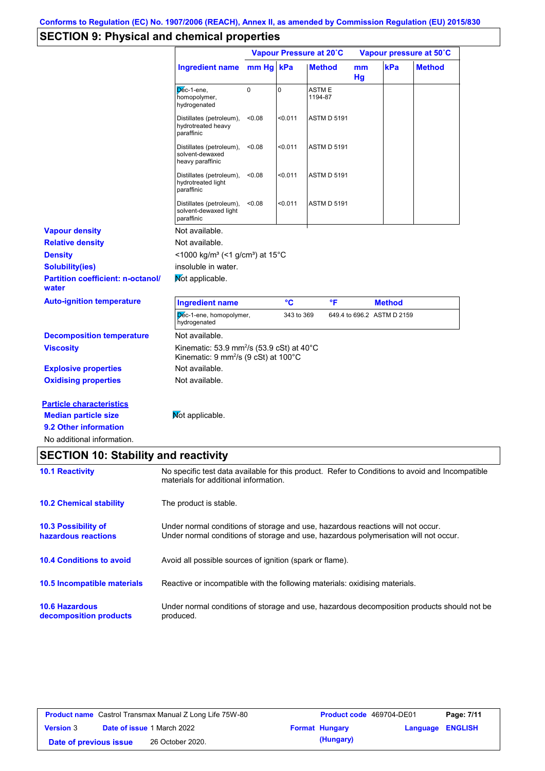# **SECTION 9: Physical and chemical properties**

|                                                                |                                                                                                                                                                         |             |             | Vapour Pressure at 20°C |          |                            | Vapour pressure at 50°C |
|----------------------------------------------------------------|-------------------------------------------------------------------------------------------------------------------------------------------------------------------------|-------------|-------------|-------------------------|----------|----------------------------|-------------------------|
|                                                                | Ingredient name                                                                                                                                                         | mm Hg kPa   |             | <b>Method</b>           | mm<br>Hg | kPa                        | <b>Method</b>           |
|                                                                | Dec-1-ene,<br>homopolymer,<br>hydrogenated                                                                                                                              | $\mathbf 0$ | $\mathbf 0$ | <b>ASTME</b><br>1194-87 |          |                            |                         |
|                                                                | Distillates (petroleum),<br>hydrotreated heavy<br>paraffinic                                                                                                            | < 0.08      | $0.011$     | <b>ASTM D 5191</b>      |          |                            |                         |
|                                                                | Distillates (petroleum),<br>solvent-dewaxed<br>heavy paraffinic                                                                                                         | < 0.08      | < 0.011     | <b>ASTM D 5191</b>      |          |                            |                         |
|                                                                | Distillates (petroleum),<br>hydrotreated light<br>paraffinic                                                                                                            | < 0.08      | < 0.011     | <b>ASTM D 5191</b>      |          |                            |                         |
|                                                                | Distillates (petroleum),<br>solvent-dewaxed light<br>paraffinic                                                                                                         | < 0.08      | < 0.011     | <b>ASTM D 5191</b>      |          |                            |                         |
| <b>Vapour density</b>                                          | Not available.                                                                                                                                                          |             |             |                         |          |                            |                         |
| <b>Relative density</b>                                        | Not available.                                                                                                                                                          |             |             |                         |          |                            |                         |
| <b>Density</b>                                                 | <1000 kg/m <sup>3</sup> (<1 g/cm <sup>3</sup> ) at 15 <sup>°</sup> C                                                                                                    |             |             |                         |          |                            |                         |
| <b>Solubility(ies)</b>                                         | insoluble in water.                                                                                                                                                     |             |             |                         |          |                            |                         |
| <b>Partition coefficient: n-octanol/</b><br>water              | Mot applicable.                                                                                                                                                         |             |             |                         |          |                            |                         |
| <b>Auto-ignition temperature</b>                               | <b>Ingredient name</b>                                                                                                                                                  |             | °C          | °F                      |          | <b>Method</b>              |                         |
|                                                                | Dec-1-ene, homopolymer,<br>hydrogenated                                                                                                                                 |             | 343 to 369  |                         |          | 649.4 to 696.2 ASTM D 2159 |                         |
| <b>Decomposition temperature</b>                               | Not available.                                                                                                                                                          |             |             |                         |          |                            |                         |
| <b>Viscosity</b>                                               | Kinematic: 53.9 mm <sup>2</sup> /s (53.9 cSt) at 40 $^{\circ}$ C<br>Kinematic: 9 mm <sup>2</sup> /s (9 cSt) at 100°C                                                    |             |             |                         |          |                            |                         |
| <b>Explosive properties</b>                                    | Not available.                                                                                                                                                          |             |             |                         |          |                            |                         |
| <b>Oxidising properties</b>                                    | Not available.                                                                                                                                                          |             |             |                         |          |                            |                         |
| <b>Particle characteristics</b><br><b>Median particle size</b> | Not applicable.                                                                                                                                                         |             |             |                         |          |                            |                         |
| 9.2 Other information                                          |                                                                                                                                                                         |             |             |                         |          |                            |                         |
| No additional information.                                     |                                                                                                                                                                         |             |             |                         |          |                            |                         |
| <b>SECTION 10: Stability and reactivity</b>                    |                                                                                                                                                                         |             |             |                         |          |                            |                         |
| <b>10.1 Reactivity</b>                                         | No specific test data available for this product. Refer to Conditions to avoid and Incompatible<br>materials for additional information.                                |             |             |                         |          |                            |                         |
| <b>10.2 Chemical stability</b>                                 | The product is stable.                                                                                                                                                  |             |             |                         |          |                            |                         |
| <b>10.3 Possibility of</b><br>hazardous reactions              | Under normal conditions of storage and use, hazardous reactions will not occur.<br>Under normal conditions of storage and use, hazardous polymerisation will not occur. |             |             |                         |          |                            |                         |
| <b>10.4 Conditions to avoid</b>                                | Avoid all possible sources of ignition (spark or flame).                                                                                                                |             |             |                         |          |                            |                         |
| 10.5 Incompatible materials                                    | Reactive or incompatible with the following materials: oxidising materials.                                                                                             |             |             |                         |          |                            |                         |
| <b>10.6 Hazardous</b><br>decomposition products                | Under normal conditions of storage and use, hazardous decomposition products should not be<br>produced.                                                                 |             |             |                         |          |                            |                         |
|                                                                |                                                                                                                                                                         |             |             |                         |          |                            |                         |

| <b>Product name</b> Castrol Transmax Manual Z Long Life 75W-80 |  |                                   | <b>Product code</b> 469704-DE01 | Page: 7/11            |                         |  |
|----------------------------------------------------------------|--|-----------------------------------|---------------------------------|-----------------------|-------------------------|--|
| <b>Version 3</b>                                               |  | <b>Date of issue 1 March 2022</b> |                                 | <b>Format Hungary</b> | <b>Language ENGLISH</b> |  |
| Date of previous issue                                         |  | 26 October 2020.                  |                                 | (Hungary)             |                         |  |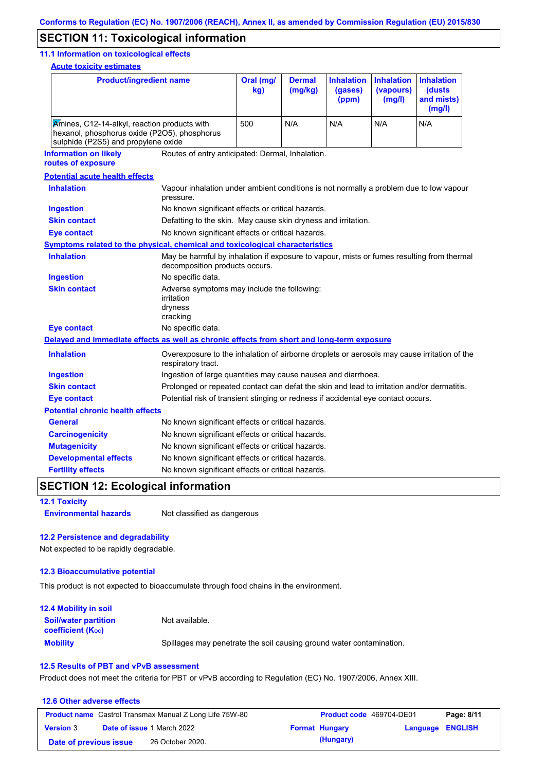## **SECTION 11: Toxicological information**

#### **11.1 Information on toxicological effects**

**Acute toxicity estimates**

| <b>Product/ingredient name</b>                                                                                                      |                                                                                                     | Oral (mg/<br>kg)                                                                                                            | <b>Dermal</b><br>(mg/kg) | <b>Inhalation</b><br>(gases)<br>(ppm) | <b>Inhalation</b><br>(vapours)<br>(mg/l) | <b>Inhalation</b><br>(dusts<br>and mists)<br>(mg/l) |  |
|-------------------------------------------------------------------------------------------------------------------------------------|-----------------------------------------------------------------------------------------------------|-----------------------------------------------------------------------------------------------------------------------------|--------------------------|---------------------------------------|------------------------------------------|-----------------------------------------------------|--|
| Amines, C12-14-alkyl, reaction products with<br>hexanol, phosphorus oxide (P2O5), phosphorus<br>sulphide (P2S5) and propylene oxide |                                                                                                     | 500                                                                                                                         | N/A                      | N/A                                   | N/A                                      | N/A                                                 |  |
| <b>Information on likely</b><br>routes of exposure                                                                                  | Routes of entry anticipated: Dermal, Inhalation.                                                    |                                                                                                                             |                          |                                       |                                          |                                                     |  |
| <b>Potential acute health effects</b>                                                                                               |                                                                                                     |                                                                                                                             |                          |                                       |                                          |                                                     |  |
| <b>Inhalation</b>                                                                                                                   | Vapour inhalation under ambient conditions is not normally a problem due to low vapour<br>pressure. |                                                                                                                             |                          |                                       |                                          |                                                     |  |
| <b>Ingestion</b>                                                                                                                    | No known significant effects or critical hazards.                                                   |                                                                                                                             |                          |                                       |                                          |                                                     |  |
| <b>Skin contact</b>                                                                                                                 | Defatting to the skin. May cause skin dryness and irritation.                                       |                                                                                                                             |                          |                                       |                                          |                                                     |  |
| <b>Eye contact</b>                                                                                                                  | No known significant effects or critical hazards.                                                   |                                                                                                                             |                          |                                       |                                          |                                                     |  |
| <b>Symptoms related to the physical, chemical and toxicological characteristics</b>                                                 |                                                                                                     |                                                                                                                             |                          |                                       |                                          |                                                     |  |
| <b>Inhalation</b>                                                                                                                   |                                                                                                     | May be harmful by inhalation if exposure to vapour, mists or fumes resulting from thermal<br>decomposition products occurs. |                          |                                       |                                          |                                                     |  |
| <b>Ingestion</b>                                                                                                                    | No specific data.                                                                                   |                                                                                                                             |                          |                                       |                                          |                                                     |  |
| <b>Skin contact</b>                                                                                                                 | irritation<br>dryness<br>cracking                                                                   | Adverse symptoms may include the following:                                                                                 |                          |                                       |                                          |                                                     |  |
| <b>Eye contact</b>                                                                                                                  | No specific data.                                                                                   |                                                                                                                             |                          |                                       |                                          |                                                     |  |
| Delayed and immediate effects as well as chronic effects from short and long-term exposure                                          |                                                                                                     |                                                                                                                             |                          |                                       |                                          |                                                     |  |
| <b>Inhalation</b>                                                                                                                   | respiratory tract.                                                                                  | Overexposure to the inhalation of airborne droplets or aerosols may cause irritation of the                                 |                          |                                       |                                          |                                                     |  |
| <b>Ingestion</b>                                                                                                                    |                                                                                                     | Ingestion of large quantities may cause nausea and diarrhoea.                                                               |                          |                                       |                                          |                                                     |  |
| <b>Skin contact</b>                                                                                                                 | Prolonged or repeated contact can defat the skin and lead to irritation and/or dermatitis.          |                                                                                                                             |                          |                                       |                                          |                                                     |  |
| <b>Eye contact</b>                                                                                                                  |                                                                                                     | Potential risk of transient stinging or redness if accidental eye contact occurs.                                           |                          |                                       |                                          |                                                     |  |
| <b>Potential chronic health effects</b>                                                                                             |                                                                                                     |                                                                                                                             |                          |                                       |                                          |                                                     |  |
| <b>General</b>                                                                                                                      | No known significant effects or critical hazards.                                                   |                                                                                                                             |                          |                                       |                                          |                                                     |  |
| <b>Carcinogenicity</b>                                                                                                              | No known significant effects or critical hazards.                                                   |                                                                                                                             |                          |                                       |                                          |                                                     |  |
| <b>Mutagenicity</b>                                                                                                                 | No known significant effects or critical hazards.                                                   |                                                                                                                             |                          |                                       |                                          |                                                     |  |
| <b>Developmental effects</b>                                                                                                        | No known significant effects or critical hazards.                                                   |                                                                                                                             |                          |                                       |                                          |                                                     |  |
| <b>Fertility effects</b>                                                                                                            | No known significant effects or critical hazards.                                                   |                                                                                                                             |                          |                                       |                                          |                                                     |  |

## **SECTION 12: Ecological information**

**12.1 Toxicity**

**Environmental hazards** Not classified as dangerous

#### **12.2 Persistence and degradability**

Not expected to be rapidly degradable.

#### **12.3 Bioaccumulative potential**

This product is not expected to bioaccumulate through food chains in the environment.

| <b>12.4 Mobility in soil</b>                            |                                                                      |
|---------------------------------------------------------|----------------------------------------------------------------------|
| <b>Soil/water partition</b><br><b>coefficient (Koc)</b> | Not available.                                                       |
| <b>Mobility</b>                                         | Spillages may penetrate the soil causing ground water contamination. |

#### **12.5 Results of PBT and vPvB assessment**

Product does not meet the criteria for PBT or vPvB according to Regulation (EC) No. 1907/2006, Annex XIII.

#### **12.6 Other adverse effects Product name** Castrol Transmax Manual Z Long Life 75W-80 **Product code** 469704-DE01 **Page: 8/11 Version** 3 **Date of issue** 1 March 2022 **Format Hungary Language ENGLISH Date of previous issue (Hungary)** 26 October 2020.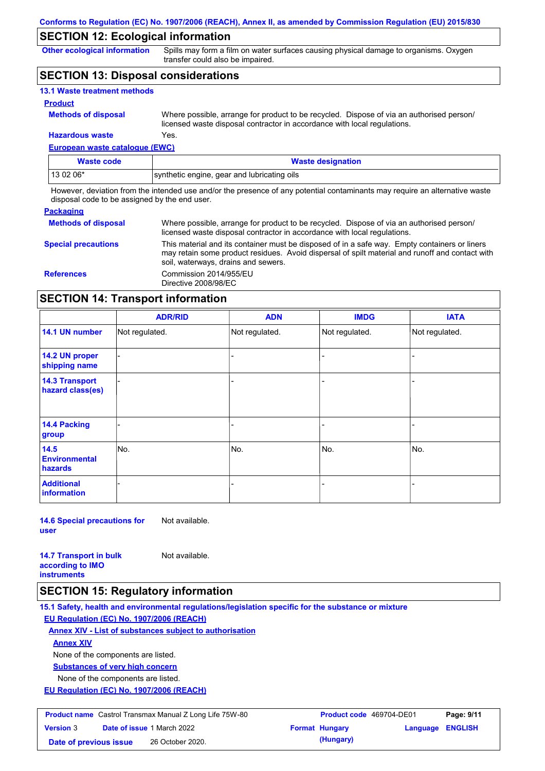## **SECTION 12: Ecological information**

**Other ecological information**

Spills may form a film on water surfaces causing physical damage to organisms. Oxygen transfer could also be impaired.

## **SECTION 13: Disposal considerations**

| <b>13.1 Waste treatment methods</b> |                                                                                                                                                                      |
|-------------------------------------|----------------------------------------------------------------------------------------------------------------------------------------------------------------------|
| <b>Product</b>                      |                                                                                                                                                                      |
| <b>Methods of disposal</b>          | Where possible, arrange for product to be recycled. Dispose of via an authorised person/<br>licensed waste disposal contractor in accordance with local regulations. |
| <b>Hazardous waste</b>              | Yes.                                                                                                                                                                 |

## **European waste catalogue (EWC)**

| <b>Waste code</b> | <b>Waste designation</b>                    |
|-------------------|---------------------------------------------|
| 13 02 06*         | synthetic engine, gear and lubricating oils |

However, deviation from the intended use and/or the presence of any potential contaminants may require an alternative waste disposal code to be assigned by the end user.

#### **Packaging**

| <b>Methods of disposal</b> | Where possible, arrange for product to be recycled. Dispose of via an authorised person/<br>licensed waste disposal contractor in accordance with local regulations.                                                                    |
|----------------------------|-----------------------------------------------------------------------------------------------------------------------------------------------------------------------------------------------------------------------------------------|
| <b>Special precautions</b> | This material and its container must be disposed of in a safe way. Empty containers or liners<br>may retain some product residues. Avoid dispersal of spilt material and runoff and contact with<br>soil, waterways, drains and sewers. |
| <b>References</b>          | Commission 2014/955/EU<br>Directive 2008/98/EC                                                                                                                                                                                          |

## **SECTION 14: Transport information**

|                                           | <b>ADR/RID</b> | <b>ADN</b>     | <b>IMDG</b>    | <b>IATA</b>    |
|-------------------------------------------|----------------|----------------|----------------|----------------|
| 14.1 UN number                            | Not regulated. | Not regulated. | Not regulated. | Not regulated. |
| 14.2 UN proper<br>shipping name           |                |                |                |                |
| <b>14.3 Transport</b><br>hazard class(es) |                |                | -              |                |
| 14.4 Packing<br>group                     |                |                |                |                |
| 14.5<br><b>Environmental</b><br>hazards   | No.            | No.            | No.            | No.            |
| <b>Additional</b><br>information          |                |                | -              |                |

**14.6 Special precautions for user** Not available.

**14.7 Transport in bulk according to IMO instruments**

Not available.

## **SECTION 15: Regulatory information**

**15.1 Safety, health and environmental regulations/legislation specific for the substance or mixture**

**EU Regulation (EC) No. 1907/2006 (REACH)**

**Annex XIV - List of substances subject to authorisation**

**Annex XIV**

None of the components are listed.

**Substances of very high concern**

None of the components are listed.

**EU Regulation (EC) No. 1907/2006 (REACH)**

| <b>Product name</b> Castrol Transmax Manual Z Long Life 75W-80 |                                   | <b>Product code</b> 469704-DE01 |  | Page: 9/11            |                  |  |
|----------------------------------------------------------------|-----------------------------------|---------------------------------|--|-----------------------|------------------|--|
| <b>Version 3</b>                                               | <b>Date of issue 1 March 2022</b> |                                 |  | <b>Format Hungary</b> | Language ENGLISH |  |
| Date of previous issue                                         |                                   | 26 October 2020.                |  | (Hungary)             |                  |  |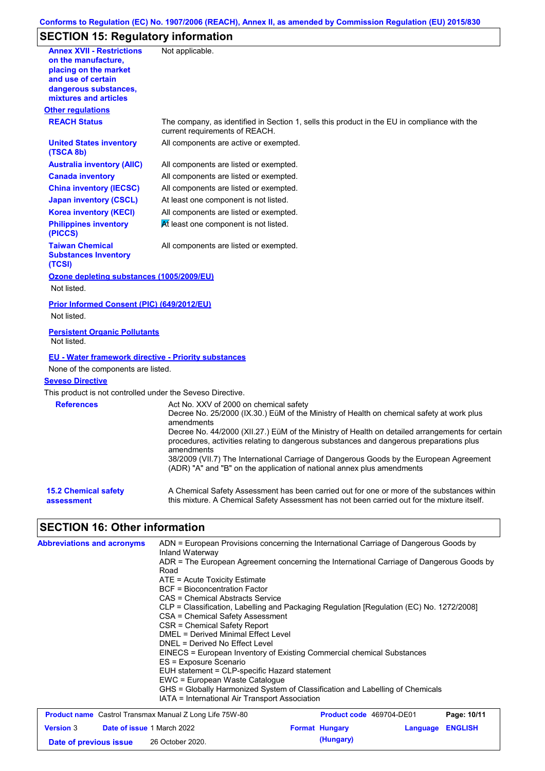## **Conforms to Regulation (EC) No. 1907/2006 (REACH), Annex II, as amended by Commission Regulation (EU) 2015/830**

# **SECTION 15: Regulatory information**

| <b>Annex XVII - Restrictions</b><br>on the manufacture,<br>placing on the market<br>and use of certain<br>dangerous substances,<br>mixtures and articles | Not applicable.                                                                                                                                                                                                                                                                                                                                                                                                                                         |                                                                                                                                                                                                                                                                                                                                                                                                                                                              |                  |
|----------------------------------------------------------------------------------------------------------------------------------------------------------|---------------------------------------------------------------------------------------------------------------------------------------------------------------------------------------------------------------------------------------------------------------------------------------------------------------------------------------------------------------------------------------------------------------------------------------------------------|--------------------------------------------------------------------------------------------------------------------------------------------------------------------------------------------------------------------------------------------------------------------------------------------------------------------------------------------------------------------------------------------------------------------------------------------------------------|------------------|
| <b>Other regulations</b>                                                                                                                                 |                                                                                                                                                                                                                                                                                                                                                                                                                                                         |                                                                                                                                                                                                                                                                                                                                                                                                                                                              |                  |
| <b>REACH Status</b>                                                                                                                                      | current requirements of REACH.                                                                                                                                                                                                                                                                                                                                                                                                                          | The company, as identified in Section 1, sells this product in the EU in compliance with the                                                                                                                                                                                                                                                                                                                                                                 |                  |
| <b>United States inventory</b><br>(TSCA 8b)                                                                                                              | All components are active or exempted.                                                                                                                                                                                                                                                                                                                                                                                                                  |                                                                                                                                                                                                                                                                                                                                                                                                                                                              |                  |
| <b>Australia inventory (AIIC)</b>                                                                                                                        | All components are listed or exempted.                                                                                                                                                                                                                                                                                                                                                                                                                  |                                                                                                                                                                                                                                                                                                                                                                                                                                                              |                  |
| <b>Canada inventory</b>                                                                                                                                  | All components are listed or exempted.                                                                                                                                                                                                                                                                                                                                                                                                                  |                                                                                                                                                                                                                                                                                                                                                                                                                                                              |                  |
| <b>China inventory (IECSC)</b>                                                                                                                           | All components are listed or exempted.                                                                                                                                                                                                                                                                                                                                                                                                                  |                                                                                                                                                                                                                                                                                                                                                                                                                                                              |                  |
| <b>Japan inventory (CSCL)</b>                                                                                                                            | At least one component is not listed.                                                                                                                                                                                                                                                                                                                                                                                                                   |                                                                                                                                                                                                                                                                                                                                                                                                                                                              |                  |
| <b>Korea inventory (KECI)</b>                                                                                                                            | All components are listed or exempted.                                                                                                                                                                                                                                                                                                                                                                                                                  |                                                                                                                                                                                                                                                                                                                                                                                                                                                              |                  |
| <b>Philippines inventory</b><br>(PICCS)                                                                                                                  | At least one component is not listed.                                                                                                                                                                                                                                                                                                                                                                                                                   |                                                                                                                                                                                                                                                                                                                                                                                                                                                              |                  |
| <b>Taiwan Chemical</b><br><b>Substances Inventory</b><br>(TCSI)                                                                                          | All components are listed or exempted.                                                                                                                                                                                                                                                                                                                                                                                                                  |                                                                                                                                                                                                                                                                                                                                                                                                                                                              |                  |
| Ozone depleting substances (1005/2009/EU)<br>Not listed.                                                                                                 |                                                                                                                                                                                                                                                                                                                                                                                                                                                         |                                                                                                                                                                                                                                                                                                                                                                                                                                                              |                  |
| Prior Informed Consent (PIC) (649/2012/EU)<br>Not listed.                                                                                                |                                                                                                                                                                                                                                                                                                                                                                                                                                                         |                                                                                                                                                                                                                                                                                                                                                                                                                                                              |                  |
| <b>Persistent Organic Pollutants</b><br>Not listed.                                                                                                      |                                                                                                                                                                                                                                                                                                                                                                                                                                                         |                                                                                                                                                                                                                                                                                                                                                                                                                                                              |                  |
| <b>EU - Water framework directive - Priority substances</b>                                                                                              |                                                                                                                                                                                                                                                                                                                                                                                                                                                         |                                                                                                                                                                                                                                                                                                                                                                                                                                                              |                  |
| None of the components are listed.                                                                                                                       |                                                                                                                                                                                                                                                                                                                                                                                                                                                         |                                                                                                                                                                                                                                                                                                                                                                                                                                                              |                  |
| <b>Seveso Directive</b>                                                                                                                                  |                                                                                                                                                                                                                                                                                                                                                                                                                                                         |                                                                                                                                                                                                                                                                                                                                                                                                                                                              |                  |
| This product is not controlled under the Seveso Directive.                                                                                               |                                                                                                                                                                                                                                                                                                                                                                                                                                                         |                                                                                                                                                                                                                                                                                                                                                                                                                                                              |                  |
| <b>References</b>                                                                                                                                        | Act No. XXV of 2000 on chemical safety<br>amendments<br>amendments                                                                                                                                                                                                                                                                                                                                                                                      | Decree No. 25/2000 (IX.30.) EüM of the Ministry of Health on chemical safety at work plus<br>Decree No. 44/2000 (XII.27.) EüM of the Ministry of Health on detailed arrangements for certain<br>procedures, activities relating to dangerous substances and dangerous preparations plus<br>38/2009 (VII.7) The International Carriage of Dangerous Goods by the European Agreement<br>(ADR) "A" and "B" on the application of national annex plus amendments |                  |
| <b>15.2 Chemical safety</b><br>assessment                                                                                                                |                                                                                                                                                                                                                                                                                                                                                                                                                                                         | A Chemical Safety Assessment has been carried out for one or more of the substances within<br>this mixture. A Chemical Safety Assessment has not been carried out for the mixture itself.                                                                                                                                                                                                                                                                    |                  |
| <b>SECTION 16: Other information</b>                                                                                                                     |                                                                                                                                                                                                                                                                                                                                                                                                                                                         |                                                                                                                                                                                                                                                                                                                                                                                                                                                              |                  |
| <b>Abbreviations and acronyms</b>                                                                                                                        | Inland Waterway<br>Road<br>ATE = Acute Toxicity Estimate<br><b>BCF</b> = Bioconcentration Factor<br>CAS = Chemical Abstracts Service<br>CSA = Chemical Safety Assessment<br><b>CSR = Chemical Safety Report</b><br>DMEL = Derived Minimal Effect Level<br>DNEL = Derived No Effect Level<br>ES = Exposure Scenario<br>EUH statement = CLP-specific Hazard statement<br>EWC = European Waste Catalogue<br>IATA = International Air Transport Association | ADN = European Provisions concerning the International Carriage of Dangerous Goods by<br>ADR = The European Agreement concerning the International Carriage of Dangerous Goods by<br>CLP = Classification, Labelling and Packaging Regulation [Regulation (EC) No. 1272/2008]<br>EINECS = European Inventory of Existing Commercial chemical Substances<br>GHS = Globally Harmonized System of Classification and Labelling of Chemicals                     |                  |
| <b>Product name</b> Castrol Transmax Manual Z Long Life 75W-80                                                                                           |                                                                                                                                                                                                                                                                                                                                                                                                                                                         | Product code 469704-DE01                                                                                                                                                                                                                                                                                                                                                                                                                                     | Page: 10/11      |
| Date of issue 1 March 2022<br><b>Version 3</b>                                                                                                           |                                                                                                                                                                                                                                                                                                                                                                                                                                                         | <b>Format Hungary</b>                                                                                                                                                                                                                                                                                                                                                                                                                                        | Language ENGLISH |
|                                                                                                                                                          |                                                                                                                                                                                                                                                                                                                                                                                                                                                         |                                                                                                                                                                                                                                                                                                                                                                                                                                                              |                  |

**Date of previous issue (Hungary)** 26 October 2020.